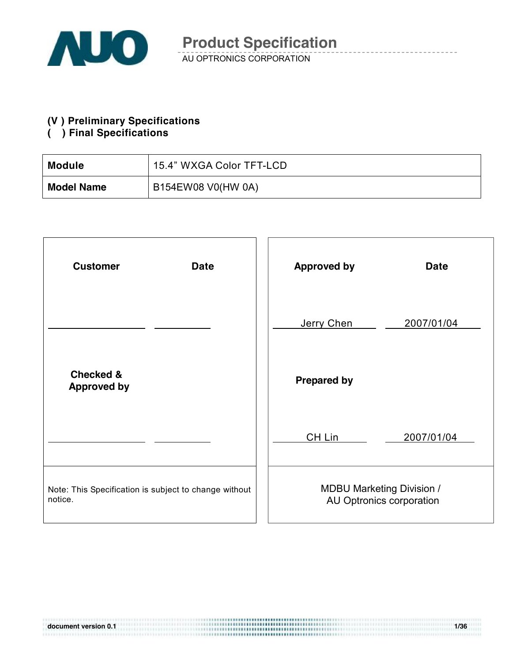

#### **(V ) Preliminary Specifications**

#### **( ) Final Specifications**

| <b>Module</b>     | 15.4" WXGA Color TFT-LCD |
|-------------------|--------------------------|
| <b>Model Name</b> | B154EW08 V0(HW 0A)       |

| <b>Customer</b><br><b>Date</b>                                   | <b>Approved by</b><br><b>Date</b>                            |
|------------------------------------------------------------------|--------------------------------------------------------------|
|                                                                  | Jerry Chen<br>2007/01/04                                     |
| <b>Checked &amp;</b><br><b>Approved by</b>                       | <b>Prepared by</b>                                           |
|                                                                  | CH Lin<br>2007/01/04                                         |
| Note: This Specification is subject to change without<br>notice. | <b>MDBU Marketing Division /</b><br>AU Optronics corporation |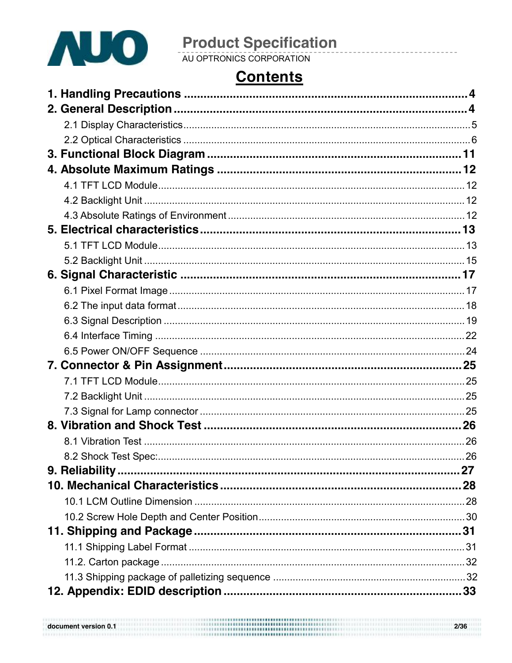

# **Product Specification**<br>AU OPTRONICS CORPORATION

### **Contents**

| 27 |
|----|
|    |
|    |
|    |
|    |
|    |
|    |
|    |
| 33 |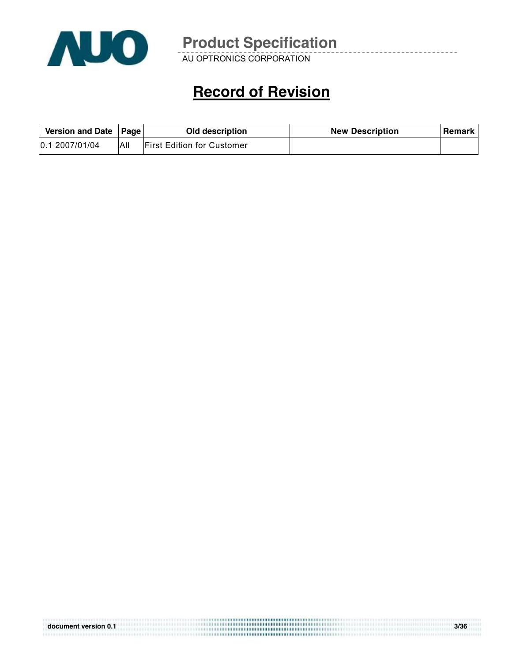

AU OPTRONICS CORPORATION

### **Record of Revision**

| Version and Date   Page |     | Old description                    | <b>New Description</b> | <b>Remark</b> I |
|-------------------------|-----|------------------------------------|------------------------|-----------------|
| 0.1 2007/01/04          | All | <b>IFirst Edition for Customer</b> |                        |                 |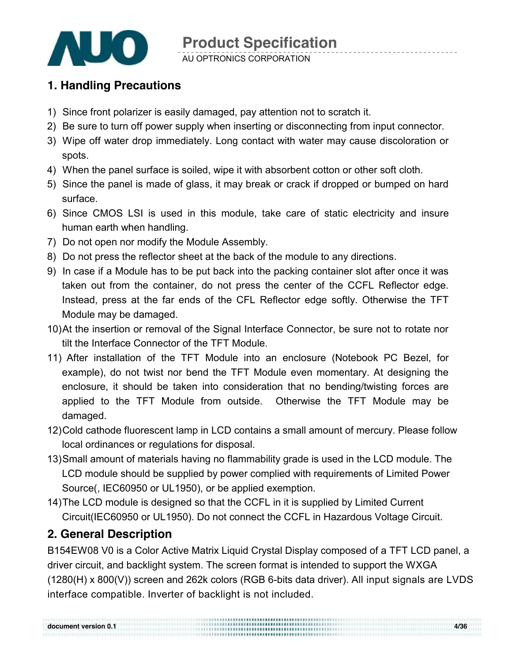

AU OPTRONICS CORPORATION

#### **1. Handling Precautions**

- 1) Since front polarizer is easily damaged, pay attention not to scratch it.
- 2) Be sure to turn off power supply when inserting or disconnecting from input connector.
- 3) Wipe off water drop immediately. Long contact with water may cause discoloration or spots.
- 4) When the panel surface is soiled, wipe it with absorbent cotton or other soft cloth.
- 5) Since the panel is made of glass, it may break or crack if dropped or bumped on hard surface.
- 6) Since CMOS LSI is used in this module, take care of static electricity and insure human earth when handling.
- 7) Do not open nor modify the Module Assembly.
- 8) Do not press the reflector sheet at the back of the module to any directions.
- 9) In case if a Module has to be put back into the packing container slot after once it was taken out from the container, do not press the center of the CCFL Reflector edge. Instead, press at the far ends of the CFL Reflector edge softly. Otherwise the TFT Module may be damaged.
- 10)At the insertion or removal of the Signal Interface Connector, be sure not to rotate nor tilt the Interface Connector of the TFT Module.
- 11) After installation of the TFT Module into an enclosure (Notebook PC Bezel, for example), do not twist nor bend the TFT Module even momentary. At designing the enclosure, it should be taken into consideration that no bending/twisting forces are applied to the TFT Module from outside. Otherwise the TFT Module may be damaged.
- 12)Cold cathode fluorescent lamp in LCD contains a small amount of mercury. Please follow local ordinances or regulations for disposal.
- 13)Small amount of materials having no flammability grade is used in the LCD module. The LCD module should be supplied by power complied with requirements of Limited Power Source(, IEC60950 or UL1950), or be applied exemption.
- 14)The LCD module is designed so that the CCFL in it is supplied by Limited Current Circuit(IEC60950 or UL1950). Do not connect the CCFL in Hazardous Voltage Circuit.

#### **2. General Description**

B154EW08 V0 is a Color Active Matrix Liquid Crystal Display composed of a TFT LCD panel, a driver circuit, and backlight system. The screen format is intended to support the WXGA (1280(H) x 800(V)) screen and 262k colors (RGB 6-bits data driver). All input signals are LVDS interface compatible. Inverter of backlight is not included.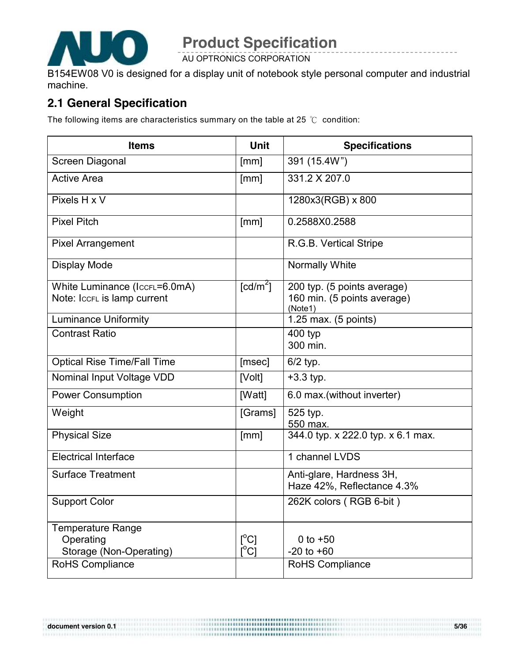

AU OPTRONICS CORPORATION

B154EW08 V0 is designed for a display unit of notebook style personal computer and industrial machine.

#### **2.1 General Specification**

The following items are characteristics summary on the table at 25 ℃ condition:

| <b>Items</b>                                                     | <b>Unit</b>                                                          | <b>Specifications</b>                                                 |
|------------------------------------------------------------------|----------------------------------------------------------------------|-----------------------------------------------------------------------|
| Screen Diagonal                                                  | [mm]                                                                 | 391 (15.4W")                                                          |
| <b>Active Area</b>                                               | [mm]                                                                 | 331.2 X 207.0                                                         |
| Pixels H x V                                                     |                                                                      | 1280x3(RGB) x 800                                                     |
| <b>Pixel Pitch</b>                                               | [mm]                                                                 | 0.2588X0.2588                                                         |
| <b>Pixel Arrangement</b>                                         |                                                                      | R.G.B. Vertical Stripe                                                |
| <b>Display Mode</b>                                              |                                                                      | <b>Normally White</b>                                                 |
| White Luminance (IccrL=6.0mA)<br>Note: Iccrl is lamp current     | $\lceil cd/m^2 \rceil$                                               | 200 typ. (5 points average)<br>160 min. (5 points average)<br>(Note1) |
| <b>Luminance Uniformity</b>                                      |                                                                      | 1.25 max. (5 points)                                                  |
| <b>Contrast Ratio</b>                                            |                                                                      | 400 typ<br>300 min.                                                   |
| <b>Optical Rise Time/Fall Time</b>                               | [msec]                                                               | $6/2$ typ.                                                            |
| Nominal Input Voltage VDD                                        | [Volt]                                                               | $+3.3$ typ.                                                           |
| <b>Power Consumption</b>                                         | [Watt]                                                               | 6.0 max. (without inverter)                                           |
| Weight                                                           | [Grams]                                                              | 525 typ.<br>550 max.                                                  |
| <b>Physical Size</b>                                             | [mm]                                                                 | 344.0 typ. x 222.0 typ. x 6.1 max.                                    |
| <b>Electrical Interface</b>                                      |                                                                      | 1 channel LVDS                                                        |
| <b>Surface Treatment</b>                                         |                                                                      | Anti-glare, Hardness 3H,<br>Haze 42%, Reflectance 4.3%                |
| <b>Support Color</b>                                             |                                                                      | 262K colors (RGB 6-bit)                                               |
| <b>Temperature Range</b><br>Operating<br>Storage (Non-Operating) | $\lceil{^{\circ}C}\rceil$<br>$\mathsf{I}^\circ\mathsf{C} \mathsf{I}$ | 0 to $+50$<br>$-20$ to $+60$                                          |
| RoHS Compliance                                                  |                                                                      | <b>RoHS Compliance</b>                                                |

......................................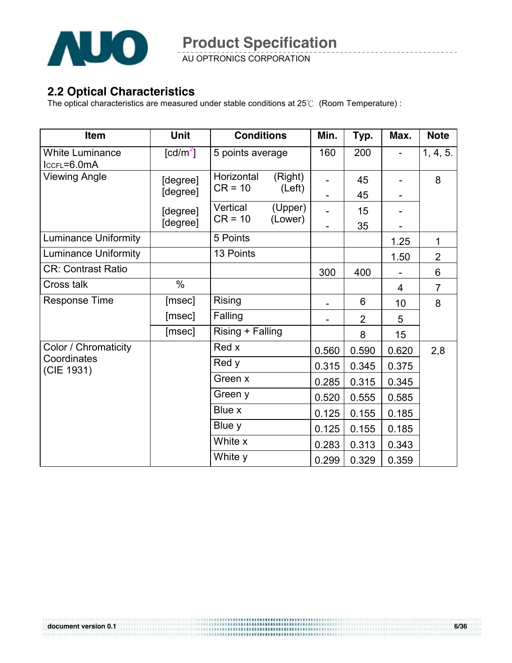

AU OPTRONICS CORPORATION

#### **2.2 Optical Characteristics**

The optical characteristics are measured under stable conditions at 25℃ (Room Temperature) :

| Item                                  | <b>Unit</b>                    | <b>Conditions</b>       |                    | Min.  | Typ.           | Max.  | <b>Note</b>    |
|---------------------------------------|--------------------------------|-------------------------|--------------------|-------|----------------|-------|----------------|
| <b>White Luminance</b><br>ICCFL=6.0mA | $\lceil \frac{cd}{m^2} \rceil$ | 5 points average        |                    | 160   | 200            |       | 1, 4, 5.       |
| <b>Viewing Angle</b>                  | [degree]                       | Horizontal<br>$CR = 10$ | (Right)            |       | 45             |       | 8              |
|                                       | [degree]                       |                         | (Left)             |       | 45             |       |                |
|                                       | [degree]<br>[degree]           | Vertical<br>$CR = 10$   | (Upper)<br>(Lower) |       | 15             |       |                |
|                                       |                                |                         |                    |       | 35             |       |                |
| <b>Luminance Uniformity</b>           |                                | 5 Points                |                    |       |                | 1.25  | 1              |
| <b>Luminance Uniformity</b>           |                                | 13 Points               |                    |       |                | 1.50  | $\overline{2}$ |
| <b>CR: Contrast Ratio</b>             |                                |                         |                    | 300   | 400            |       | 6              |
| Cross talk                            | $\%$                           |                         |                    |       |                | 4     | $\overline{7}$ |
| <b>Response Time</b>                  | [msec]                         | <b>Rising</b>           |                    |       | 6              | 10    | 8              |
|                                       | [msec]                         | Falling                 |                    |       | $\overline{2}$ | 5     |                |
|                                       | [msec]                         | Rising + Falling        |                    |       | 8              | 15    |                |
| Color / Chromaticity                  |                                | Red x                   |                    | 0.560 | 0.590          | 0.620 | 2,8            |
| Coordinates<br>(CIE 1931)             |                                | Red y                   |                    | 0.315 | 0.345          | 0.375 |                |
|                                       |                                | Green x                 |                    | 0.285 | 0.315          | 0.345 |                |
|                                       |                                | Green y                 |                    | 0.520 | 0.555          | 0.585 |                |
|                                       |                                | Blue x                  |                    | 0.125 | 0.155          | 0.185 |                |
|                                       |                                | Blue y                  |                    | 0.125 | 0.155          | 0.185 |                |
|                                       |                                | White x                 |                    | 0.283 | 0.313          | 0.343 |                |
|                                       |                                | White y                 |                    | 0.299 | 0.329          | 0.359 |                |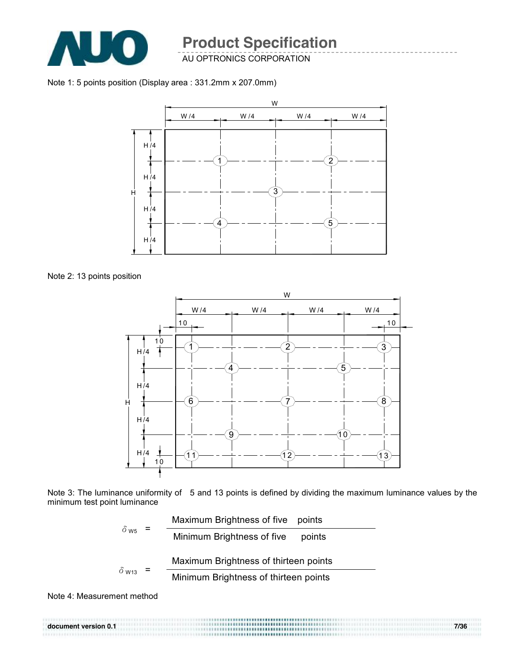

AU OPTRONICS CORPORATION

Note 1: 5 points position (Display area : 331.2mm x 207.0mm)



Note 2: 13 points position



Note 3: The luminance uniformity of 5 and 13 points is defined by dividing the maximum luminance values by the minimum test point luminance



Note 4: Measurement method

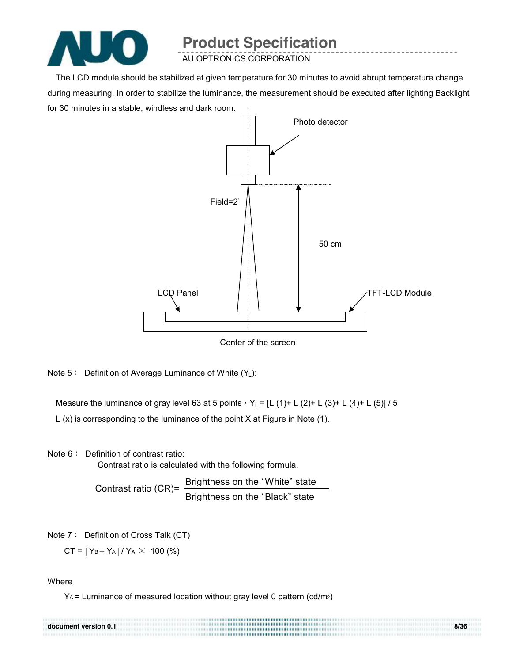

AU OPTRONICS CORPORATION

The LCD module should be stabilized at given temperature for 30 minutes to avoid abrupt temperature change during measuring. In order to stabilize the luminance, the measurement should be executed after lighting Backlight for 30 minutes in a stable, windless and dark room.



Note  $5:$  Definition of Average Luminance of White  $(Y_L)$ :

Measure the luminance of gray level 63 at 5 points,  $Y_L = [L (1) + L (2) + L (3) + L (4) + L (5)] / 5$ 

L (x) is corresponding to the luminance of the point X at Figure in Note (1).

Note 6: Definition of contrast ratio:

Contrast ratio is calculated with the following formula.

Contrast ratio (CR)= Brightness on the "White" state Brightness on the "Black" state

Note 7: Definition of Cross Talk (CT)

 $CT = |Y_B - Y_A| / Y_A \times 100$  (%)

**Where** 

YA = Luminance of measured location without gray level 0 pattern (cd/m2)

| document version 0.1 | \::::::::::::::::::::::::::::::::::: | 8/36 |
|----------------------|--------------------------------------|------|
|                      |                                      |      |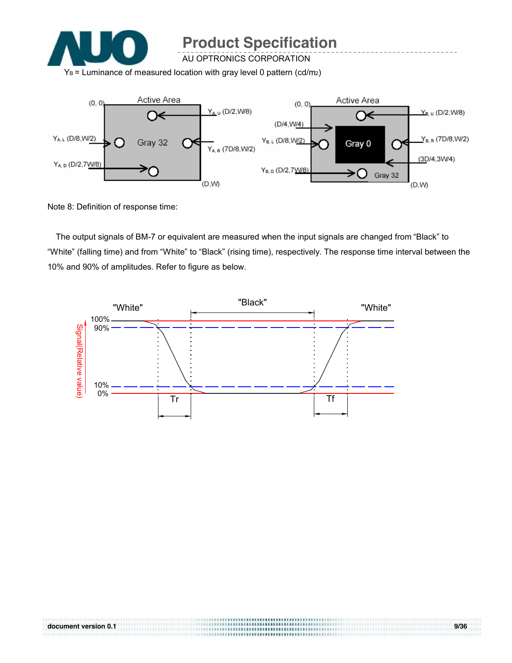

AU OPTRONICS CORPORATION

 $Y_B$  = Luminance of measured location with gray level 0 pattern (cd/m2)



Note 8: Definition of response time:

The output signals of BM-7 or equivalent are measured when the input signals are changed from "Black" to "White" (falling time) and from "White" to "Black" (rising time), respectively. The response time interval between the 10% and 90% of amplitudes. Refer to figure as below.

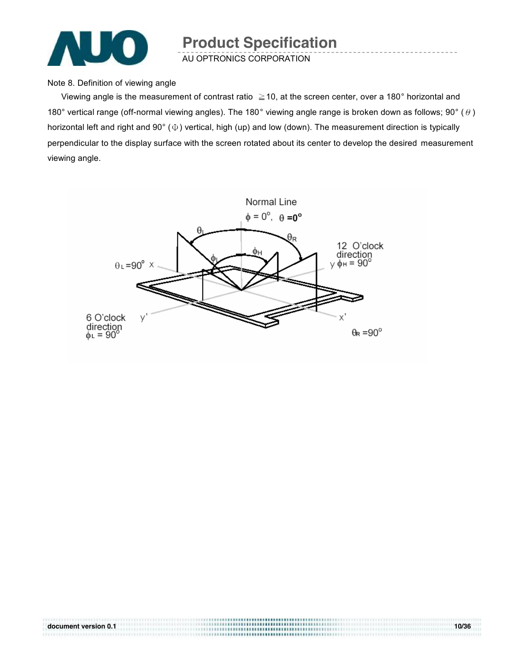

AU OPTRONICS CORPORATION

Note 8. Definition of viewing angle

Viewing angle is the measurement of contrast ratio  $\geq$  10, at the screen center, over a 180 $^{\circ}$  horizontal and 180° vertical range (off-normal viewing angles). The 180° viewing angle range is broken down as follows; 90° ( $\theta$ ) horizontal left and right and 90° (Φ) vertical, high (up) and low (down). The measurement direction is typically perpendicular to the display surface with the screen rotated about its center to develop the desired measurement viewing angle.



.................................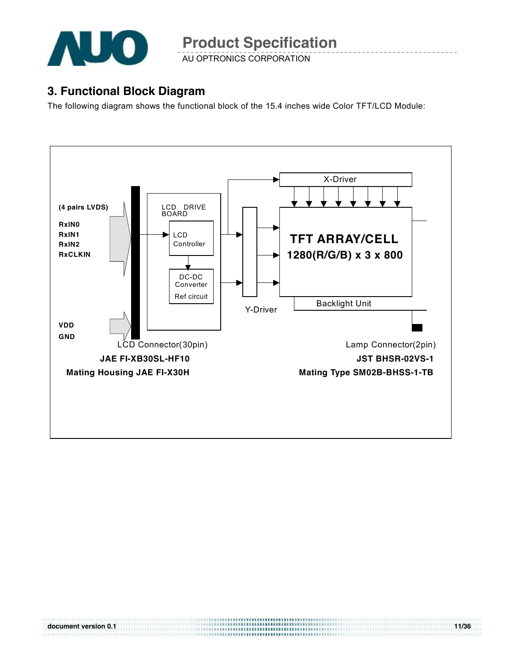

AU OPTRONICS CORPORATION

#### **3. Functional Block Diagram**

The following diagram shows the functional block of the 15.4 inches wide Color TFT/LCD Module:

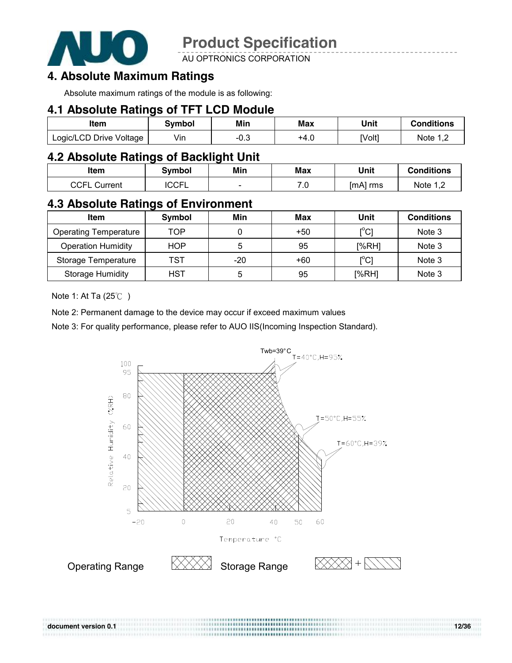

**AU OPTRONICS CORPORATION** 

#### **4. Absolute Maximum Ratings**

Absolute maximum ratings of the module is as following:

#### **4.1 Absolute Ratings of TFT LCD Module**

| Item                    | Svmbol | Min    | Max  | Unit   | <b>Conditions</b>   |
|-------------------------|--------|--------|------|--------|---------------------|
| Logic/LCD Drive Voltage | Vin    | $-0.3$ | +4.0 | [Volt] | Note 1 <sup>r</sup> |

#### **4.2 Absolute Ratings of Backlight Unit**

| Item                   | Symbol                    | Min                      | Max                    | Unit     | <b>Conditions</b> |
|------------------------|---------------------------|--------------------------|------------------------|----------|-------------------|
| <b>CCEI</b><br>วurrent | $\cap$ $\cap$<br>◡◡г<br>╺ | $\overline{\phantom{a}}$ | 70<br>$\cdot$ . $\cup$ | [mA] rms | Note 1 2          |

#### **4.3 Absolute Ratings of Environment**

| Item                         | Symbol     | Min | Max   | Unit                                    | <b>Conditions</b> |
|------------------------------|------------|-----|-------|-----------------------------------------|-------------------|
| <b>Operating Temperature</b> | TOP        |     | $+50$ | $\mathsf{I}^\circ\mathsf{C} \mathsf{I}$ | Note 3            |
| <b>Operation Humidity</b>    | <b>HOP</b> | 5   | 95    | $N$ <sub>6</sub> RH                     | Note 3            |
| Storage Temperature          | TST        | -20 | $+60$ | $\mathsf{I}^\circ\mathsf{C}$            | Note 3            |
| <b>Storage Humidity</b>      | <b>HST</b> | h   | 95    | [%RH]                                   | Note 3            |

Note 1: At Ta (25℃ )

Note 2: Permanent damage to the device may occur if exceed maximum values

Note 3: For quality performance, please refer to AUO IIS(Incoming Inspection Standard).

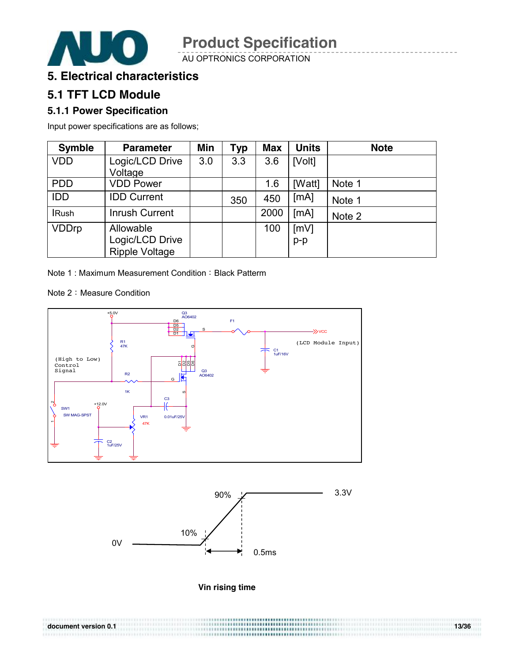

AU OPTRONICS CORPORATION

#### **5. Electrical characteristics**

#### **5.1 TFT LCD Module**

#### **5.1.1 Power Specification**

Input power specifications are as follows;

| <b>Symble</b> | <b>Parameter</b>      | Min | Typ | <b>Max</b> | <b>Units</b> | <b>Note</b> |
|---------------|-----------------------|-----|-----|------------|--------------|-------------|
| <b>VDD</b>    | Logic/LCD Drive       | 3.0 | 3.3 | 3.6        | [Volt]       |             |
|               | Voltage               |     |     |            |              |             |
| <b>PDD</b>    | <b>VDD Power</b>      |     |     | 1.6        | [Watt]       | Note 1      |
| <b>IDD</b>    | <b>IDD Current</b>    |     | 350 | 450        | [MA]         | Note 1      |
| <b>IRush</b>  | <b>Inrush Current</b> |     |     | 2000       | [mA]         | Note 2      |
| <b>VDDrp</b>  | Allowable             |     |     | 100        | [mV]         |             |
|               | Logic/LCD Drive       |     |     |            | $p-p$        |             |
|               | <b>Ripple Voltage</b> |     |     |            |              |             |

Note 1 : Maximum Measurement Condition : Black Patterm

Note 2: Measure Condition





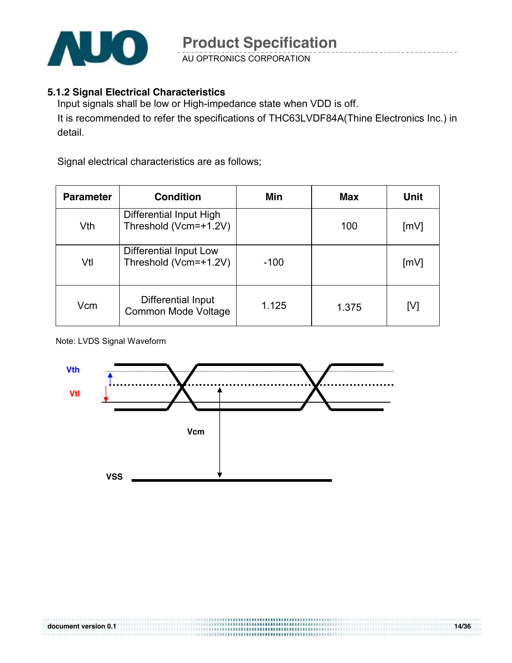

AU OPTRONICS CORPORATION

#### **5.1.2 Signal Electrical Characteristics**

Input signals shall be low or High-impedance state when VDD is off. It is recommended to refer the specifications of THC63LVDF84A(Thine Electronics Inc.) in detail.

Signal electrical characteristics are as follows;

| <b>Parameter</b> | <b>Condition</b>                                 | Min    | Max   | Unit |
|------------------|--------------------------------------------------|--------|-------|------|
| Vth              | Differential Input High<br>Threshold (Vcm=+1.2V) |        | 100   | [mV] |
| Vtl              | Differential Input Low<br>Threshold (Vcm=+1.2V)  | $-100$ |       | [mV] |
| Vcm              | Differential Input<br>Common Mode Voltage        | 1.125  | 1.375 | [V]  |

#### Note: LVDS Signal Waveform

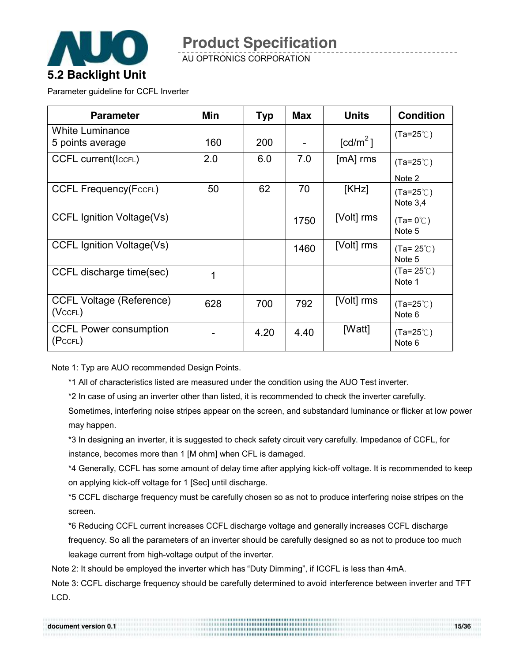

AU OPTRONICS CORPORATION

Parameter guideline for CCFL Inverter

| <b>Parameter</b>                                 | Min | <b>Typ</b> | <b>Max</b> | <b>Units</b>         | <b>Condition</b>                 |
|--------------------------------------------------|-----|------------|------------|----------------------|----------------------------------|
| <b>White Luminance</b><br>5 points average       | 160 | 200        |            | [cd/m <sup>2</sup> ] | $(Ta=25^{\circ}C)$               |
| <b>CCFL current(IccFL)</b>                       | 2.0 | 6.0        | 7.0        | $[mA]$ rms           | $(Ta=25^{\circ}C)$<br>Note 2     |
| <b>CCFL Frequency(FccFL)</b>                     | 50  | 62         | 70         | [KHz]                | $(Ta=25^{\circ}C)$<br>Note $3.4$ |
| <b>CCFL Ignition Voltage(Vs)</b>                 |     |            | 1750       | [Volt] rms           | $(Ta=0^{\circ}C)$<br>Note 5      |
| <b>CCFL Ignition Voltage(Vs)</b>                 |     |            | 1460       | [Volt] rms           | $(Ta=25^{\circ}C)$<br>Note 5     |
| CCFL discharge time(sec)                         | 1   |            |            |                      | $(Ta=25^{\circ}$ C)<br>Note 1    |
| <b>CCFL Voltage (Reference)</b><br>$(Vc$ CFL $)$ | 628 | 700        | 792        | [Volt] rms           | $(Ta=25^{\circ}C)$<br>Note 6     |
| <b>CCFL Power consumption</b><br>(PccFL)         |     | 4.20       | 4.40       | [Watt]               | $(Ta=25^{\circ}C)$<br>Note 6     |

Note 1: Typ are AUO recommended Design Points.

\*1 All of characteristics listed are measured under the condition using the AUO Test inverter.

\*2 In case of using an inverter other than listed, it is recommended to check the inverter carefully.

Sometimes, interfering noise stripes appear on the screen, and substandard luminance or flicker at low power may happen.

\*3 In designing an inverter, it is suggested to check safety circuit very carefully. Impedance of CCFL, for instance, becomes more than 1 [M ohm] when CFL is damaged.

\*4 Generally, CCFL has some amount of delay time after applying kick-off voltage. It is recommended to keep on applying kick-off voltage for 1 [Sec] until discharge.

\*5 CCFL discharge frequency must be carefully chosen so as not to produce interfering noise stripes on the screen.

\*6 Reducing CCFL current increases CCFL discharge voltage and generally increases CCFL discharge frequency. So all the parameters of an inverter should be carefully designed so as not to produce too much leakage current from high-voltage output of the inverter.

Note 2: It should be employed the inverter which has "Duty Dimming", if ICCFL is less than 4mA.

Note 3: CCFL discharge frequency should be carefully determined to avoid interference between inverter and TFT LCD.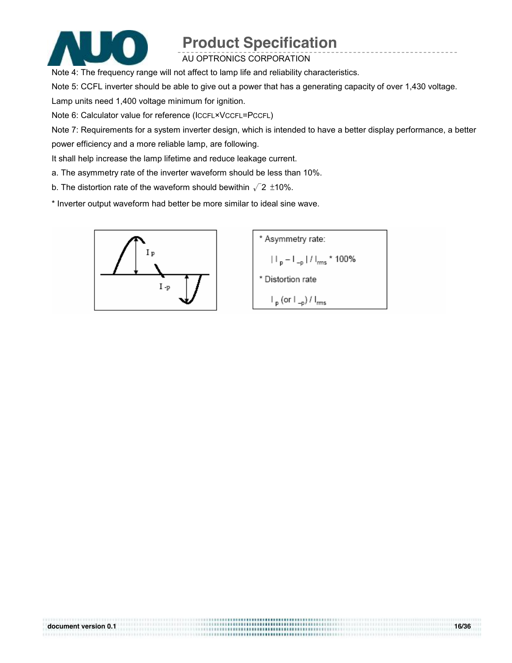

AU OPTRONICS CORPORATION

Note 4: The frequency range will not affect to lamp life and reliability characteristics.

Note 5: CCFL inverter should be able to give out a power that has a generating capacity of over 1,430 voltage.

Lamp units need 1,400 voltage minimum for ignition.

Note 6: Calculator value for reference (ICCFL×VCCFL=PCCFL)

Note 7: Requirements for a system inverter design, which is intended to have a better display performance, a better power efficiency and a more reliable lamp, are following.

................................

It shall help increase the lamp lifetime and reduce leakage current.

- a. The asymmetry rate of the inverter waveform should be less than 10%.
- b. The distortion rate of the waveform should bewithin  $\sqrt{2} \pm 10\%$ .

\* Inverter output waveform had better be more similar to ideal sine wave.



\* Asymmetry rate:  $|||_{p} - ||_{-p}||/||_{rms} * 100\%$ \* Distortion rate  $\vdash_{p}$  (or  $\vdash_{-p}$ ) /  $\vdash_{rms}$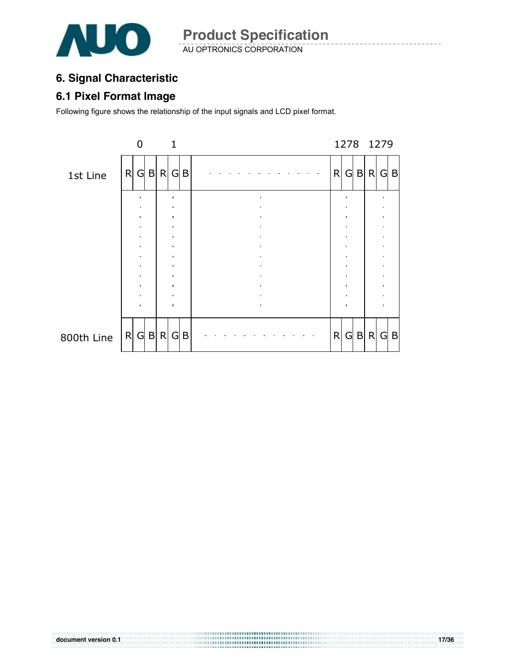

AU OPTRONICS CORPORATION

#### **6. Signal Characteristic**

#### **6.1 Pixel Format Image**

Following figure shows the relationship of the input signals and LCD pixel format.

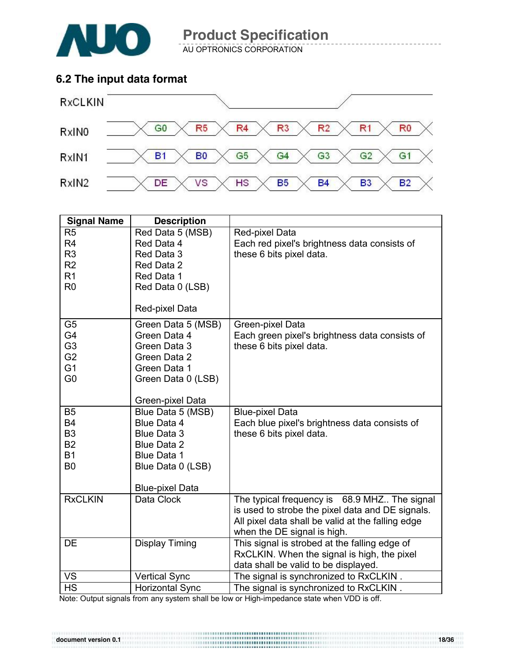

AU OPTRONICS CORPORATION

#### **6.2 The input data format**



| <b>Signal Name</b>     | <b>Description</b>               |                                                                           |
|------------------------|----------------------------------|---------------------------------------------------------------------------|
| R <sub>5</sub>         | Red Data 5 (MSB)                 | Red-pixel Data                                                            |
| R <sub>4</sub>         | Red Data 4                       | Each red pixel's brightness data consists of                              |
| R <sub>3</sub>         | Red Data 3                       | these 6 bits pixel data.                                                  |
| R2                     | Red Data 2                       |                                                                           |
| R <sub>1</sub>         | Red Data 1                       |                                                                           |
| R <sub>0</sub>         | Red Data 0 (LSB)                 |                                                                           |
|                        |                                  |                                                                           |
|                        | Red-pixel Data                   |                                                                           |
| G <sub>5</sub>         | Green Data 5 (MSB)               | Green-pixel Data                                                          |
| G4                     | Green Data 4                     | Each green pixel's brightness data consists of                            |
| G <sub>3</sub>         | Green Data 3                     | these 6 bits pixel data.                                                  |
| G <sub>2</sub>         | Green Data 2                     |                                                                           |
| G <sub>1</sub>         | Green Data 1                     |                                                                           |
| G <sub>0</sub>         | Green Data 0 (LSB)               |                                                                           |
|                        |                                  |                                                                           |
|                        | Green-pixel Data                 |                                                                           |
| <b>B5</b><br><b>B4</b> | Blue Data 5 (MSB)<br>Blue Data 4 | <b>Blue-pixel Data</b>                                                    |
| B <sub>3</sub>         | <b>Blue Data 3</b>               | Each blue pixel's brightness data consists of<br>these 6 bits pixel data. |
| <b>B2</b>              | <b>Blue Data 2</b>               |                                                                           |
| <b>B1</b>              | Blue Data 1                      |                                                                           |
| B <sub>0</sub>         | Blue Data 0 (LSB)                |                                                                           |
|                        |                                  |                                                                           |
|                        | <b>Blue-pixel Data</b>           |                                                                           |
| <b>RxCLKIN</b>         | Data Clock                       | The typical frequency is 68.9 MHZ The signal                              |
|                        |                                  | is used to strobe the pixel data and DE signals.                          |
|                        |                                  | All pixel data shall be valid at the falling edge                         |
|                        |                                  | when the DE signal is high.                                               |
| <b>DE</b>              | <b>Display Timing</b>            | This signal is strobed at the falling edge of                             |
|                        |                                  | RxCLKIN. When the signal is high, the pixel                               |
|                        |                                  | data shall be valid to be displayed.                                      |
| VS                     | <b>Vertical Sync</b>             | The signal is synchronized to RxCLKIN.                                    |
| <b>HS</b>              | <b>Horizontal Sync</b>           | The signal is synchronized to RxCLKIN.                                    |

Note: Output signals from any system shall be low or High-impedance state when VDD is off.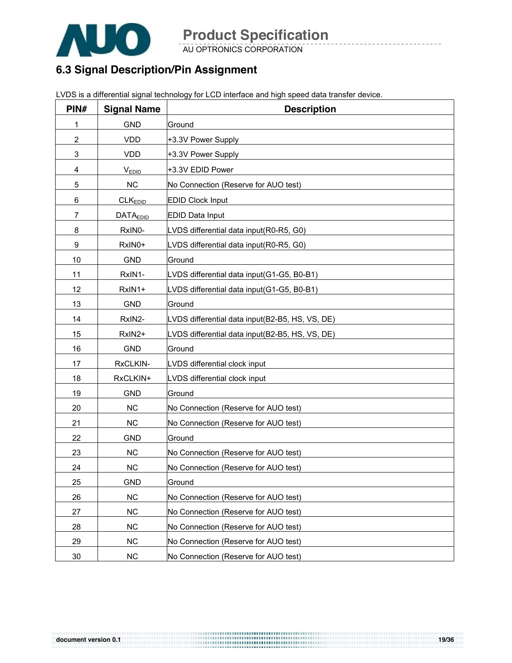

AU OPTRONICS CORPORATION

#### **6.3 Signal Description/Pin Assignment**

| PIN#           | <b>Signal Name</b>   | <b>Description</b>                              |
|----------------|----------------------|-------------------------------------------------|
| 1              | <b>GND</b>           | Ground                                          |
| $\overline{2}$ | <b>VDD</b>           | +3.3V Power Supply                              |
| 3              | <b>VDD</b>           | +3.3V Power Supply                              |
| 4              | $V_{EDID}$           | +3.3V EDID Power                                |
| 5              | NC                   | No Connection (Reserve for AUO test)            |
| 6              | CLK <sub>EDID</sub>  | <b>EDID Clock Input</b>                         |
| 7              | DATA <sub>EDID</sub> | <b>EDID Data Input</b>                          |
| 8              | RxIN0-               | LVDS differential data input(R0-R5, G0)         |
| 9              | RxIN0+               | LVDS differential data input(R0-R5, G0)         |
| 10             | <b>GND</b>           | Ground                                          |
| 11             | RxIN1-               | LVDS differential data input(G1-G5, B0-B1)      |
| 12             | RxIN1+               | LVDS differential data input(G1-G5, B0-B1)      |
| 13             | <b>GND</b>           | Ground                                          |
| 14             | RxIN2-               | LVDS differential data input(B2-B5, HS, VS, DE) |
| 15             | RxIN2+               | LVDS differential data input(B2-B5, HS, VS, DE) |
| 16             | <b>GND</b>           | Ground                                          |
| 17             | RxCLKIN-             | LVDS differential clock input                   |
| 18             | RxCLKIN+             | LVDS differential clock input                   |
| 19             | <b>GND</b>           | Ground                                          |
| 20             | <b>NC</b>            | No Connection (Reserve for AUO test)            |
| 21             | <b>NC</b>            | No Connection (Reserve for AUO test)            |
| 22             | <b>GND</b>           | Ground                                          |
| 23             | <b>NC</b>            | No Connection (Reserve for AUO test)            |
| 24             | <b>NC</b>            | No Connection (Reserve for AUO test)            |
| 25             | <b>GND</b>           | Ground                                          |
| 26             | NC                   | No Connection (Reserve for AUO test)            |
| 27             | <b>NC</b>            | No Connection (Reserve for AUO test)            |
| 28             | <b>NC</b>            | No Connection (Reserve for AUO test)            |
| 29             | NC                   | No Connection (Reserve for AUO test)            |
| 30             | NC                   | No Connection (Reserve for AUO test)            |

LVDS is a differential signal technology for LCD interface and high speed data transfer device.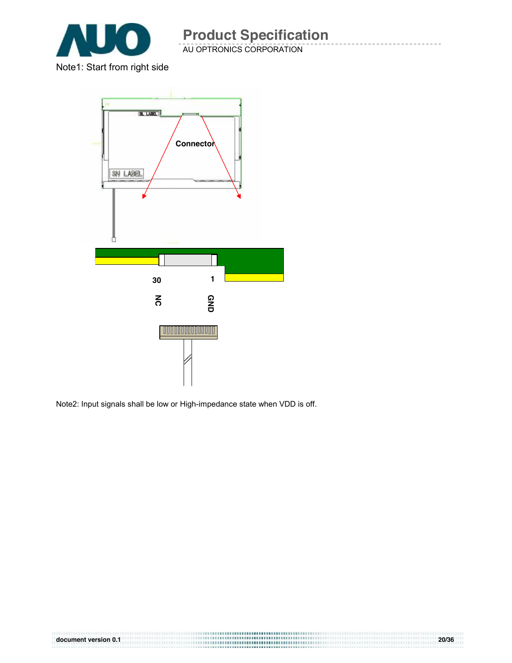

AU OPTRONICS CORPORATION

Note1: Start from right side



Note2: Input signals shall be low or High-impedance state when VDD is off.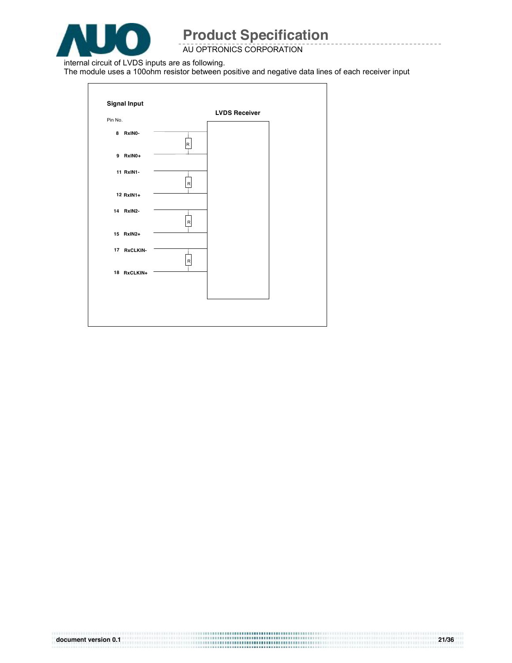

AU OPTRONICS CORPORATION

internal circuit of LVDS inputs are as following.

The module uses a 100ohm resistor between positive and negative data lines of each receiver input

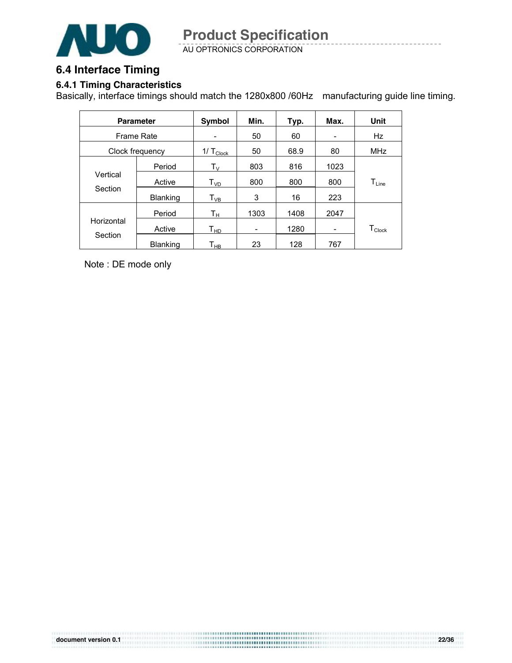

AU OPTRONICS CORPORATION

#### **6.4 Interface Timing**

#### **6.4.1 Timing Characteristics**

Basically, interface timings should match the 1280x800 /60Hz manufacturing guide line timing.

|            | <b>Parameter</b> | <b>Symbol</b>              | Min.            | Typ. | Max.                     | Unit                           |
|------------|------------------|----------------------------|-----------------|------|--------------------------|--------------------------------|
| Frame Rate |                  | -                          | 50              | 60   |                          | Hz                             |
|            | Clock frequency  | 1/ $T_{\text{Clock}}$      | 50              | 68.9 | 80                       | MHz                            |
|            | Period           | $\mathsf{T}_\mathsf{V}$    | 803             | 816  | 1023                     |                                |
| Vertical   | Active           | T <sub>VD</sub>            | 800             | 800  | 800                      | $\mathsf{T}_{\mathsf{Line}}$   |
| Section    | <b>Blanking</b>  | $\mathsf{T}_{\mathsf{VB}}$ | 3               | 16   | 223                      |                                |
|            | Period           | Tн                         | 1303            | 1408 | 2047                     |                                |
| Horizontal | Active           | Т <sub>нр</sub>            | $\qquad \qquad$ | 1280 | $\overline{\phantom{a}}$ | ${\mathsf T}_{\mathsf{Clock}}$ |
| Section    | <b>Blanking</b>  | Т <sub>нв</sub>            | 23              | 128  | 767                      |                                |

Note : DE mode only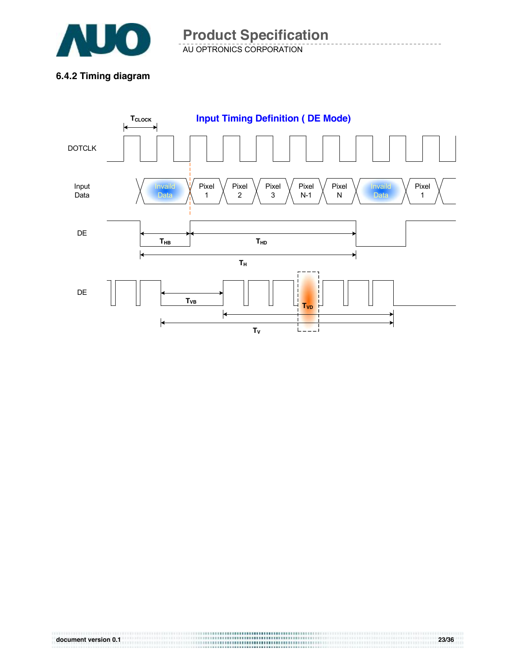

AU OPTRONICS CORPORATION **Product Specification** 

**6.4.2 Timing diagram** 

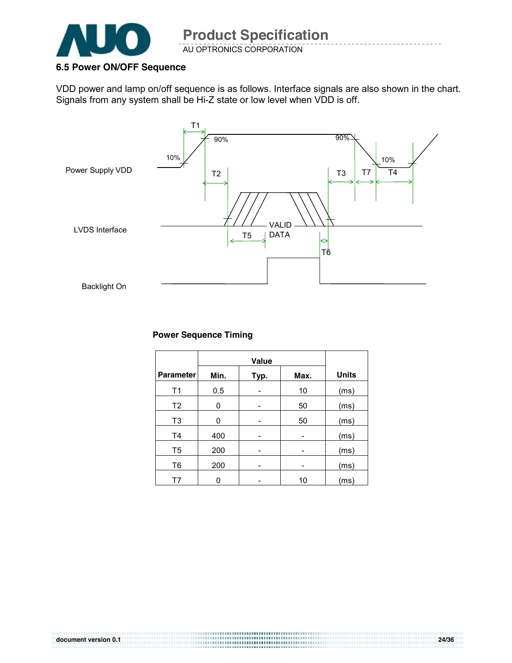

AU OPTRONICS CORPORATION

#### **6.5 Power ON/OFF Sequence**

VDD power and lamp on/off sequence is as follows. Interface signals are also shown in the chart. Signals from any system shall be Hi-Z state or low level when VDD is off.



#### **Power Sequence Timing**

| <b>Parameter</b> | Min. | Typ. | Max.                     | <b>Units</b> |
|------------------|------|------|--------------------------|--------------|
| T1               | 0.5  |      | 10                       | (ms)         |
| T <sub>2</sub>   | 0    |      | 50                       | (ms)         |
| T3               | 0    |      | 50                       | (ms)         |
| T <sub>4</sub>   | 400  |      |                          | (ms)         |
| T5               | 200  | -    | $\overline{\phantom{0}}$ | (ms)         |
| T6               | 200  | -    |                          | (ms)         |
| T7               |      |      | 10                       | (ms)         |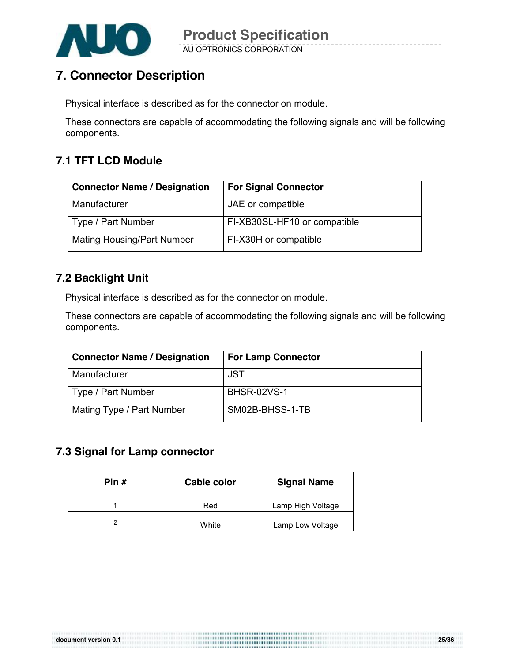

### **7. Connector Description**

Physical interface is described as for the connector on module.

These connectors are capable of accommodating the following signals and will be following components.

#### **7.1 TFT LCD Module**

| <b>Connector Name / Designation</b> | <b>For Signal Connector</b>  |
|-------------------------------------|------------------------------|
| Manufacturer                        | JAE or compatible            |
| Type / Part Number                  | FI-XB30SL-HF10 or compatible |
| <b>Mating Housing/Part Number</b>   | FI-X30H or compatible        |

#### **7.2 Backlight Unit**

Physical interface is described as for the connector on module.

These connectors are capable of accommodating the following signals and will be following components.

| <b>Connector Name / Designation</b> | <b>For Lamp Connector</b> |
|-------------------------------------|---------------------------|
| Manufacturer                        | JST                       |
| Type / Part Number                  | <b>BHSR-02VS-1</b>        |
| Mating Type / Part Number           | SM02B-BHSS-1-TB           |

#### **7.3 Signal for Lamp connector**

| Pin # | Cable color | <b>Signal Name</b> |  |
|-------|-------------|--------------------|--|
|       | Red         | Lamp High Voltage  |  |
|       | White       | Lamp Low Voltage   |  |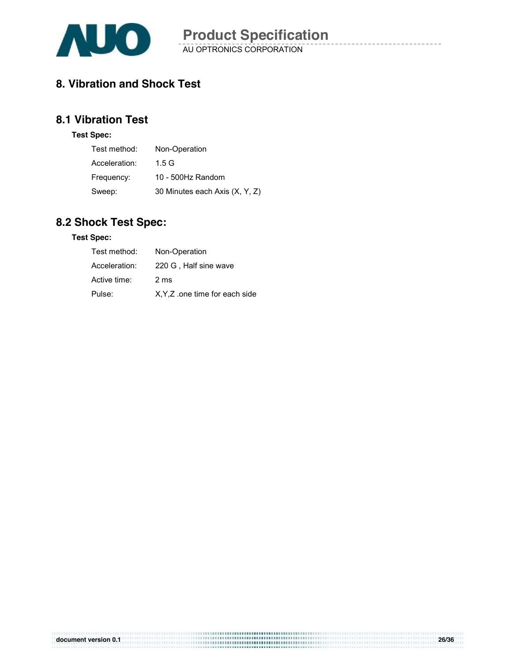

#### **8. Vibration and Shock Test**

#### **8.1 Vibration Test**

#### **Test Spec:**

| Test method:  | Non-Operation                  |
|---------------|--------------------------------|
| Acceleration: | 1.5 G                          |
| Frequency:    | 10 - 500Hz Random              |
| Sweep:        | 30 Minutes each Axis (X, Y, Z) |

#### **8.2 Shock Test Spec:**

#### **Test Spec:**

| Test method:  | Non-Operation                   |
|---------------|---------------------------------|
| Acceleration: | 220 G, Half sine wave           |
| Active time:  | 2 ms                            |
| Pulse:        | X, Y, Z .one time for each side |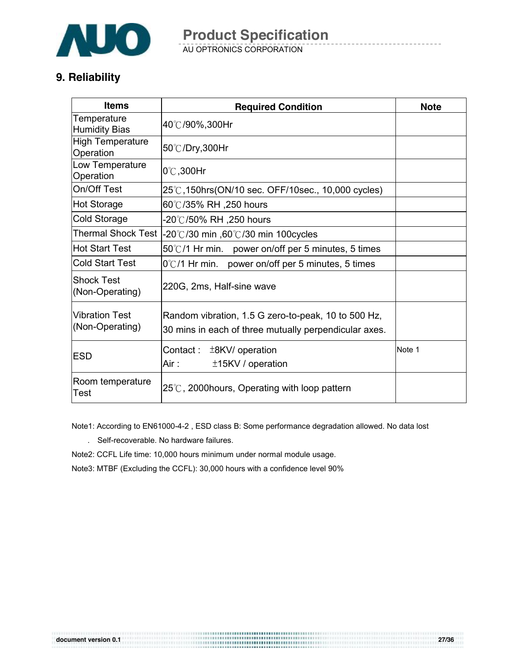

AU OPTRONICS CORPORATION

#### **9. Reliability**

| <b>Items</b>                             | <b>Required Condition</b>                                                                                    | <b>Note</b> |
|------------------------------------------|--------------------------------------------------------------------------------------------------------------|-------------|
| Temperature<br><b>Humidity Bias</b>      | 40℃/90%,300Hr                                                                                                |             |
| <b>High Temperature</b><br>Operation     | 50℃/Dry,300Hr                                                                                                |             |
| Low Temperature<br>Operation             | $0^{\circ}$ C, 300Hr                                                                                         |             |
| On/Off Test                              | 25℃,150hrs(ON/10 sec. OFF/10sec., 10,000 cycles)                                                             |             |
| Hot Storage                              | 60℃/35% RH ,250 hours                                                                                        |             |
| <b>Cold Storage</b>                      | -20℃/50% RH ,250 hours                                                                                       |             |
| <b>Thermal Shock Test</b>                | -20°C/30 min ,60°C/30 min 100cycles                                                                          |             |
| Hot Start Test                           | 50°C/1 Hr min. power on/off per 5 minutes, 5 times                                                           |             |
| <b>Cold Start Test</b>                   | 0°C/1 Hr min. power on/off per 5 minutes, 5 times                                                            |             |
| <b>Shock Test</b><br>(Non-Operating)     | 220G, 2ms, Half-sine wave                                                                                    |             |
| <b>Vibration Test</b><br>(Non-Operating) | Random vibration, 1.5 G zero-to-peak, 10 to 500 Hz,<br>30 mins in each of three mutually perpendicular axes. |             |
| <b>ESD</b>                               | Contact:<br>$±8$ KV/ operation<br>$±15$ KV / operation<br>Air :                                              | Note 1      |
| Room temperature<br><b>Test</b>          | $25^{\circ}$ C, 2000 hours, Operating with loop pattern                                                      |             |

Note1: According to EN61000-4-2 , ESD class B: Some performance degradation allowed. No data lost

. Self-recoverable. No hardware failures.

Note2: CCFL Life time: 10,000 hours minimum under normal module usage.

Note3: MTBF (Excluding the CCFL): 30,000 hours with a confidence level 90%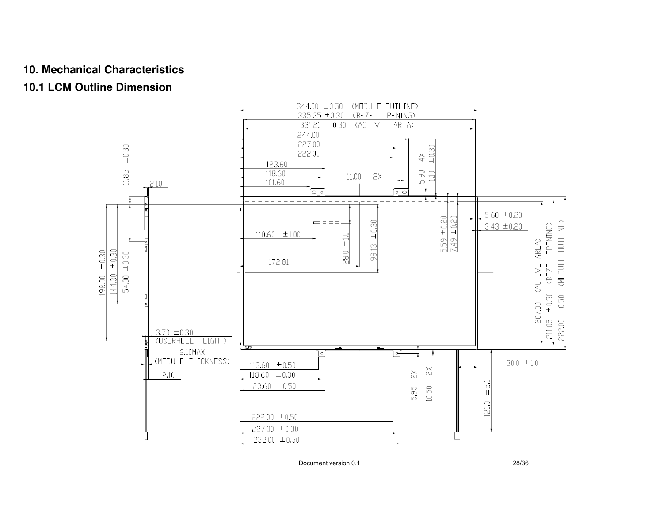#### **10. Mechanical Characteristics**

#### **10.1 LCM Outline Dimension**



Document version 0.1 28/36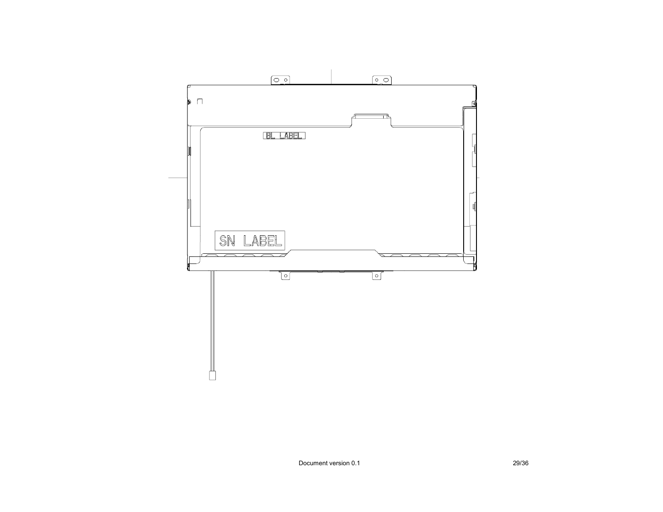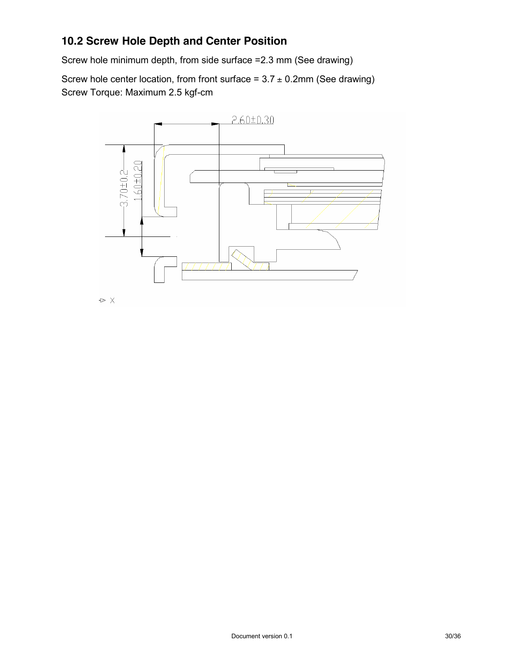#### **10.2 Screw Hole Depth and Center Position**

Screw hole minimum depth, from side surface =2.3 mm (See drawing)

Screw hole center location, from front surface =  $3.7 \pm 0.2$ mm (See drawing) Screw Torque: Maximum 2.5 kgf-cm

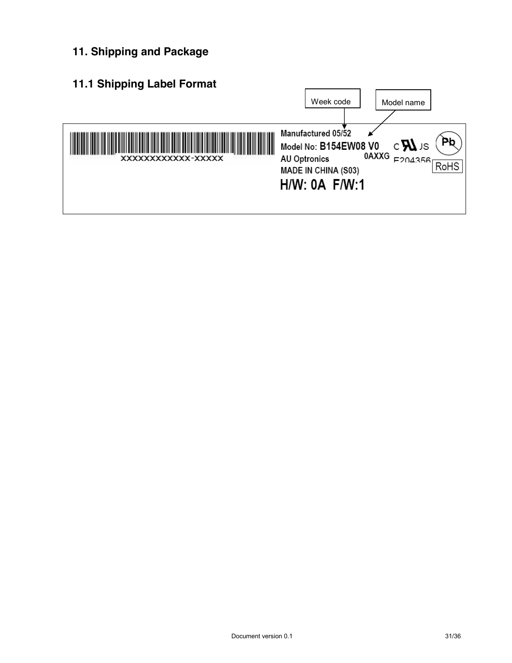**11. Shipping and Package**

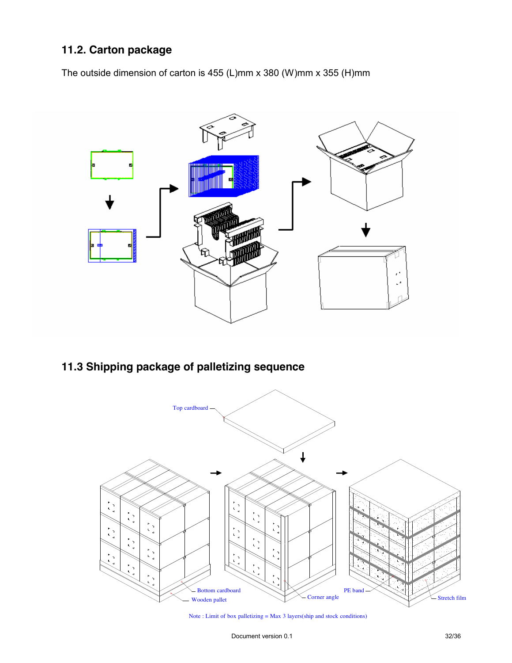#### **11.2. Carton package**

The outside dimension of carton is 455 (L)mm x 380 (W)mm x 355 (H)mm



#### **11.3 Shipping package of palletizing sequence**



Note : Limit of box palletizing = Max 3 layers(ship and stock conditions)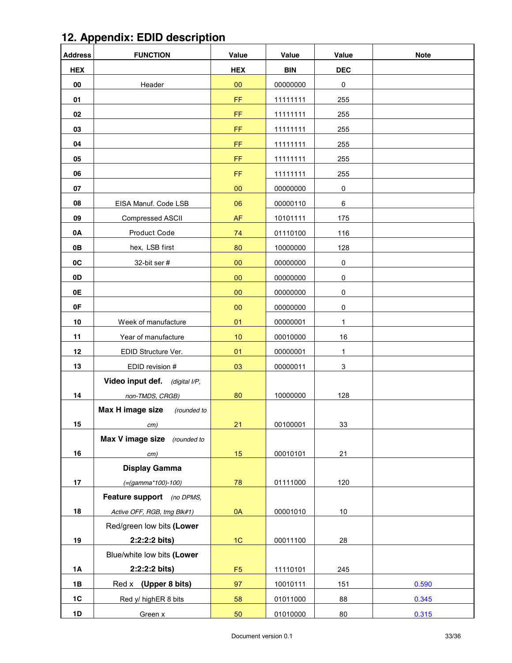| <b>Address</b> | <b>FUNCTION</b>                   | Value          | Value      | Value        | <b>Note</b> |
|----------------|-----------------------------------|----------------|------------|--------------|-------------|
| <b>HEX</b>     |                                   | <b>HEX</b>     | <b>BIN</b> | <b>DEC</b>   |             |
| 00             | Header                            | 00             | 00000000   | $\pmb{0}$    |             |
| 01             |                                   | FF             | 11111111   | 255          |             |
| 02             |                                   | FF             | 11111111   | 255          |             |
| 03             |                                   | FF             | 11111111   | 255          |             |
| 04             |                                   | FF             | 11111111   | 255          |             |
| 05             |                                   | FF             | 11111111   | 255          |             |
| 06             |                                   | FF             | 11111111   | 255          |             |
| 07             |                                   | 00             | 00000000   | 0            |             |
| 08             | EISA Manuf. Code LSB              | 06             | 00000110   | 6            |             |
| 09             | <b>Compressed ASCII</b>           | AF             | 10101111   | 175          |             |
| 0A             | Product Code                      | 74             | 01110100   | 116          |             |
| 0B             | hex, LSB first                    | 80             | 10000000   | 128          |             |
| 0C             | 32-bit ser #                      | 00             | 00000000   | $\pmb{0}$    |             |
| 0D             |                                   | 00             | 00000000   | $\pmb{0}$    |             |
| 0E             |                                   | 00             | 00000000   | $\pmb{0}$    |             |
| 0F             |                                   | 00             | 00000000   | $\pmb{0}$    |             |
| 10             | Week of manufacture               | 01             | 00000001   | 1            |             |
| 11             | Year of manufacture               | 10             | 00010000   | 16           |             |
| 12             | EDID Structure Ver.               | 01             | 00000001   | $\mathbf{1}$ |             |
| 13             | EDID revision #                   | 03             | 00000011   | 3            |             |
|                | Video input def.<br>(digital I/P, |                |            |              |             |
| 14             | non-TMDS, CRGB)                   | 80             | 10000000   | 128          |             |
|                | Max H image size<br>(rounded to   |                |            |              |             |
| 15             | cm)                               | 21             | 00100001   | <u>33</u>    |             |
|                | Max V image size (rounded to      |                |            |              |             |
| 16             | cm)                               | 15             | 00010101   | 21           |             |
|                | <b>Display Gamma</b>              |                |            |              |             |
| 17             | $(=(gamma*100)-100)$              | 78             | 01111000   | 120          |             |
|                | Feature support (no DPMS,         |                |            |              |             |
| 18             | Active OFF, RGB, tmg Blk#1)       | 0A             | 00001010   | $10\,$       |             |
|                | Red/green low bits (Lower         |                |            |              |             |
| 19             | $2:2:2:2 \text{ bits}$            | 1C             | 00011100   | 28           |             |
|                | Blue/white low bits (Lower        |                |            |              |             |
| 1A             | 2:2:2:2 bits)                     | F <sub>5</sub> | 11110101   | 245          |             |
| 1B             | (Upper 8 bits)<br>Red x           | 97             | 10010111   | 151          | 0.590       |
| 1C             | Red y/ highER 8 bits              | 58             | 01011000   | 88           | 0.345       |
| 1D             | Green x                           | 50             | 01010000   | 80           | 0.315       |

### **12. Appendix: EDID description**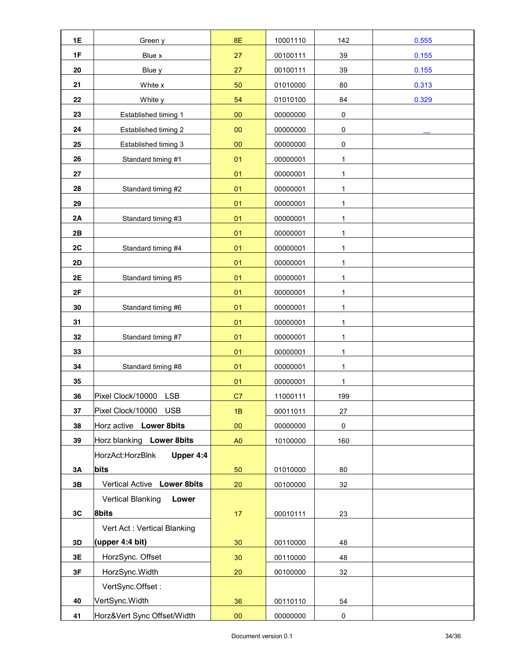| <b>1E</b> | Green y                           | <b>8E</b>      | 10001110 | 142          | 0.555 |
|-----------|-----------------------------------|----------------|----------|--------------|-------|
| 1F        | Blue x                            | 27             | 00100111 | 39           | 0.155 |
| 20        | Blue y                            | 27             | 00100111 | 39           | 0.155 |
| 21        | White x                           | 50             | 01010000 | 80           | 0.313 |
| 22        | White y                           | 54             | 01010100 | 84           | 0.329 |
| 23        | Established timing 1              | 00             | 00000000 | $\pmb{0}$    |       |
| 24        | Established timing 2              | 00             | 00000000 | $\pmb{0}$    |       |
| 25        | Established timing 3              | $00\,$         | 00000000 | $\pmb{0}$    |       |
| 26        | Standard timing #1                | 01             | 00000001 | 1            |       |
| 27        |                                   | 01             | 00000001 | 1            |       |
| 28        | Standard timing #2                | 01             | 00000001 | 1            |       |
| 29        |                                   | 01             | 00000001 | 1            |       |
| 2A        | Standard timing #3                | 01             | 00000001 | 1            |       |
| 2B        |                                   | 01             | 00000001 | $\mathbf{1}$ |       |
| 2C        | Standard timing #4                | 01             | 00000001 | $\mathbf{1}$ |       |
| 2D        |                                   | 01             | 00000001 | 1            |       |
| 2E        | Standard timing #5                | 01             | 00000001 | 1            |       |
| 2F        |                                   | 01             | 00000001 | 1            |       |
| 30        | Standard timing #6                | 01             | 00000001 | 1            |       |
| 31        |                                   | 01             | 00000001 | $\mathbf{1}$ |       |
| 32        | Standard timing #7                | 01             | 00000001 | 1            |       |
| 33        |                                   | 01             | 00000001 | 1            |       |
| 34        | Standard timing #8                | 01             | 00000001 | $\mathbf{1}$ |       |
| 35        |                                   | 01             | 00000001 | 1            |       |
| 36        | Pixel Clock/10000<br><b>LSB</b>   | C7             | 11000111 | 199          |       |
| 37        | Pixel Clock/10000<br><b>USB</b>   | 1B             | 00011011 | 27           |       |
| 38        | Horz active Lower 8bits           | $00\,$         | 00000000 | $\pmb{0}$    |       |
| 39        | Horz blanking Lower 8bits         | A <sub>0</sub> | 10100000 | 160          |       |
|           | Upper 4:4<br>HorzAct:HorzBlnk     |                |          |              |       |
| 3A        | bits                              | 50             | 01010000 | 80           |       |
| 3B        | Vertical Active Lower 8bits       | 20             | 00100000 | 32           |       |
|           | <b>Vertical Blanking</b><br>Lower |                |          |              |       |
| 3C        | 8bits                             | 17             | 00010111 | 23           |       |
|           | Vert Act: Vertical Blanking       |                |          |              |       |
| 3D        | (upper 4:4 bit)                   | 30             | 00110000 | 48           |       |
| 3E        | HorzSync. Offset                  | 30             | 00110000 | 48           |       |
| 3F        | HorzSync.Width                    | 20             | 00100000 | 32           |       |
|           | VertSync.Offset:                  |                |          |              |       |
| 40        | VertSync.Width                    | 36             | 00110110 | 54           |       |
| 41        | Horz‖ Sync Offset/Width           | ${\bf 00}$     | 00000000 | 0            |       |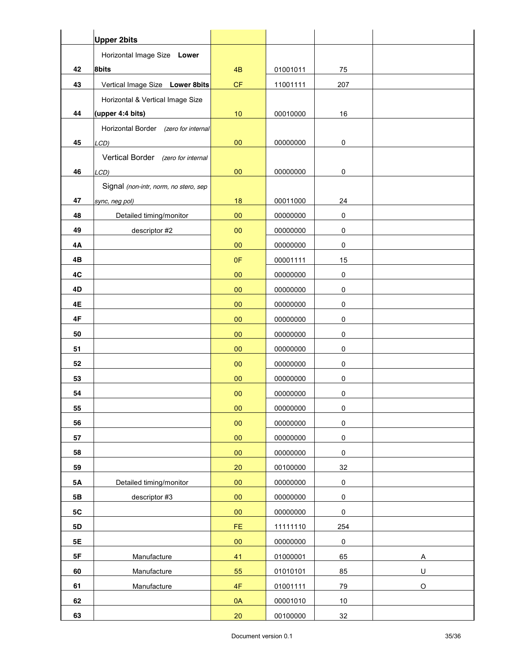|           | <b>Upper 2bits</b>                    |            |          |             |             |
|-----------|---------------------------------------|------------|----------|-------------|-------------|
|           | Horizontal Image Size Lower           |            |          |             |             |
| 42        | 8bits                                 | 4B         | 01001011 | 75          |             |
| 43        | Vertical Image Size Lower 8bits       | CF         | 11001111 | 207         |             |
|           | Horizontal & Vertical Image Size      |            |          |             |             |
| 44        | (upper 4:4 bits)                      | 10         | 00010000 | 16          |             |
|           | Horizontal Border (zero for internal  |            |          |             |             |
| 45        | LCD)                                  | $00\,$     | 00000000 | 0           |             |
|           | Vertical Border (zero for internal    |            |          |             |             |
| 46        | LCD)                                  | 00         | 00000000 | 0           |             |
|           | Signal (non-intr, norm, no stero, sep |            |          |             |             |
| 47        | sync, neg pol)                        | 18         | 00011000 | 24          |             |
| 48        | Detailed timing/monitor               | 00         | 00000000 | 0           |             |
| 49        | descriptor #2                         | 00         | 00000000 | 0           |             |
| 4Α        |                                       | 00         | 00000000 | 0           |             |
| 4Β        |                                       | 0F         | 00001111 | 15          |             |
| 4C        |                                       | 00         | 00000000 | $\pmb{0}$   |             |
| 4D        |                                       | 00         | 00000000 | $\pmb{0}$   |             |
| 4E        |                                       | $00\,$     | 00000000 | $\pmb{0}$   |             |
| 4F        |                                       | 00         | 00000000 | 0           |             |
| 50        |                                       | $00\,$     | 00000000 | $\pmb{0}$   |             |
| 51        |                                       | $00\,$     | 00000000 | $\pmb{0}$   |             |
| 52        |                                       | 00         | 00000000 | $\pmb{0}$   |             |
| 53        |                                       | 00         | 00000000 | 0           |             |
| 54        |                                       | 00         | 00000000 | 0           |             |
| 55        |                                       | $00\,$     | 00000000 | $\pmb{0}$   |             |
| 56        |                                       | $00\,$     | 00000000 | $\mathsf 0$ |             |
| 57        |                                       | 00         | 00000000 | $\pmb{0}$   |             |
| 58        |                                       | $00\,$     | 00000000 | $\mathbf 0$ |             |
| 59        |                                       | 20         | 00100000 | 32          |             |
| $5A$      | Detailed timing/monitor               | ${\bf 00}$ | 00000000 | $\pmb{0}$   |             |
| 5B        | descriptor #3                         | 00         | 00000000 | $\pmb{0}$   |             |
| 5C        |                                       | $00\,$     | 00000000 | $\pmb{0}$   |             |
| <b>5D</b> |                                       | FE.        | 11111110 | 254         |             |
| <b>5E</b> |                                       | $00\,$     | 00000000 | $\pmb{0}$   |             |
| 5F        | Manufacture                           | 41         | 01000001 | 65          | A           |
| 60        | Manufacture                           | 55         | 01010101 | 85          | U           |
| 61        | Manufacture                           | 4F         | 01001111 | 79          | $\mathsf O$ |
| 62        |                                       | 0A         | 00001010 | $10$        |             |
| 63        |                                       | 20         | 00100000 | 32          |             |